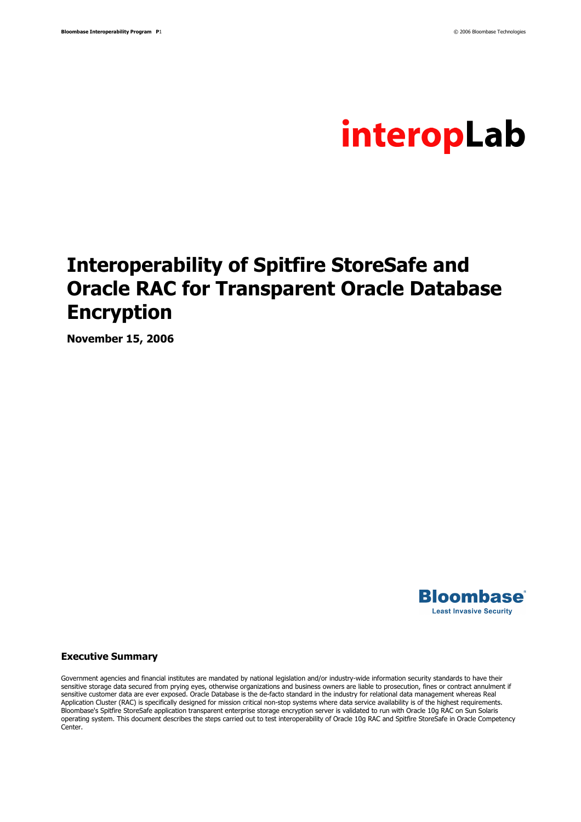

# **Interoperability of Spitfire StoreSafe and Oracle RAC for Transparent Oracle Database Encryption**

**November 15, 2006** 



#### **Executive Summary**

Government agencies and financial institutes are mandated by national legislation and/or industry-wide information security standards to have their sensitive storage data secured from prying eyes, otherwise organizations and business owners are liable to prosecution, fines or contract annulment if sensitive customer data are ever exposed. Oracle Database is the de-facto standard in the industry for relational data management whereas Real Application Cluster (RAC) is specifically designed for mission critical non-stop systems where data service availability is of the highest requirements. Bloombase's Spitfire StoreSafe application transparent enterprise storage encryption server is validated to run with Oracle 10g RAC on Sun Solaris operating system. This document describes the steps carried out to test interoperability of Oracle 10g RAC and Spitfire StoreSafe in Oracle Competency **Center**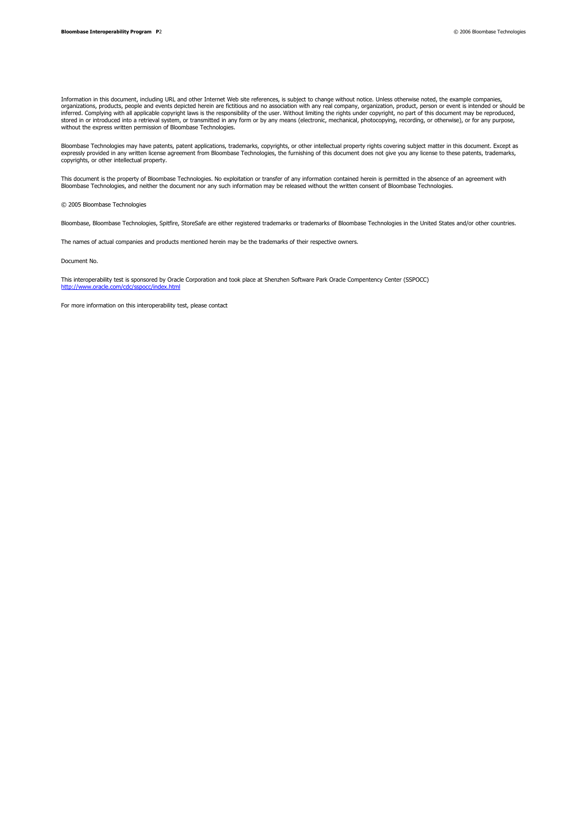Information in this document, including URL and other Internet Web site references, is subject to change without notice. Unless otherwise noted, the example companies,<br>organizations, products, people and events depicted he

Bloombase Technologies may have patents, patent applications, trademarks, copyrights, or other intellectual property rights covering subject matter in this document. Except as<br>expressly provided in any written license agre copyrights, or other intellectual property.

This document is the property of Bloombase Technologies. No exploitation or transfer of any information contained herein is permitted in the absence of an agreement with Bloombase Technologies, and neither the document nor any such information may be released without the written consent of Bloombase Technologies.

© 2005 Bloombase Technologies

Bloombase, Bloombase Technologies, Spitfire, StoreSafe are either registered trademarks or trademarks of Bloombase Technologies in the United States and/or other countries.

The names of actual companies and products mentioned herein may be the trademarks of their respective owners.

Document No.

This interoperability test is sponsored by Oracle Corporation and took place at Shenzhen Software Park Oracle Compentency Center (SSPOCC)<br>http://www.oracle.com/cdc/cspocc/index.html  $http://$ 

For more information on this interoperability test, please contact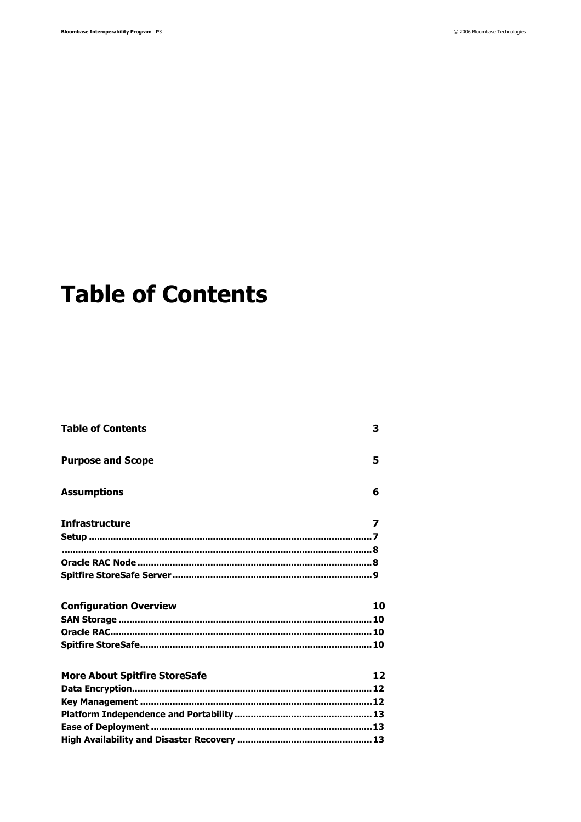# **Table of Contents**

| <b>Table of Contents</b>             | 3  |
|--------------------------------------|----|
| <b>Purpose and Scope</b>             | 5  |
| <b>Assumptions</b>                   | 6  |
| <b>Infrastructure</b>                | 7  |
|                                      |    |
|                                      |    |
|                                      |    |
|                                      |    |
| <b>Configuration Overview</b>        | 10 |
|                                      |    |
|                                      |    |
|                                      |    |
|                                      |    |
|                                      | 12 |
| <b>More About Spitfire StoreSafe</b> |    |
|                                      |    |
|                                      |    |
|                                      |    |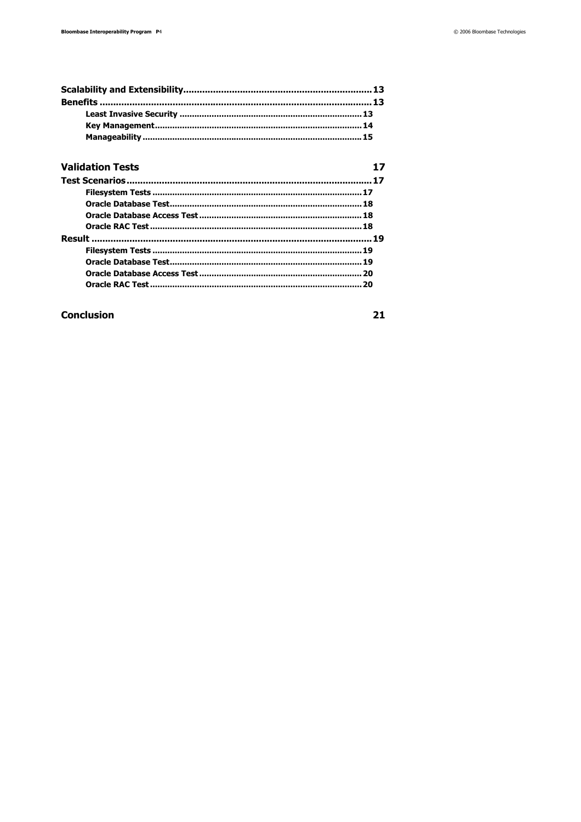#### **Validation Tests**

| חכ |
|----|

#### **Conclusion**

 $21$ 

 $17$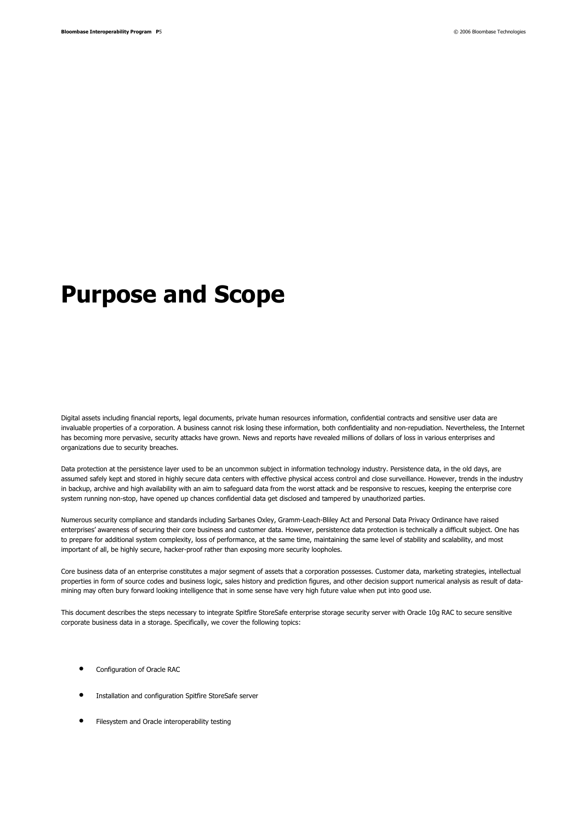# **Purpose and Scope**

Digital assets including financial reports, legal documents, private human resources information, confidential contracts and sensitive user data are invaluable properties of a corporation. A business cannot risk losing these information, both confidentiality and non-repudiation. Nevertheless, the Internet has becoming more pervasive, security attacks have grown. News and reports have revealed millions of dollars of loss in various enterprises and organizations due to security breaches.

Data protection at the persistence layer used to be an uncommon subject in information technology industry. Persistence data, in the old days, are assumed safely kept and stored in highly secure data centers with effective physical access control and close surveillance. However, trends in the industry in backup, archive and high availability with an aim to safeguard data from the worst attack and be responsive to rescues, keeping the enterprise core system running non-stop, have opened up chances confidential data get disclosed and tampered by unauthorized parties.

Numerous security compliance and standards including Sarbanes Oxley, Gramm-Leach-Bliley Act and Personal Data Privacy Ordinance have raised enterprises' awareness of securing their core business and customer data. However, persistence data protection is technically a difficult subject. One has to prepare for additional system complexity, loss of performance, at the same time, maintaining the same level of stability and scalability, and most important of all, be highly secure, hacker-proof rather than exposing more security loopholes.

Core business data of an enterprise constitutes a major segment of assets that a corporation possesses. Customer data, marketing strategies, intellectual properties in form of source codes and business logic, sales history and prediction figures, and other decision support numerical analysis as result of datamining may often bury forward looking intelligence that in some sense have very high future value when put into good use.

This document describes the steps necessary to integrate Spitfire StoreSafe enterprise storage security server with Oracle 10g RAC to secure sensitive corporate business data in a storage. Specifically, we cover the following topics:

- Configuration of Oracle RAC
- Installation and configuration Spitfire StoreSafe server
- Filesystem and Oracle interoperability testing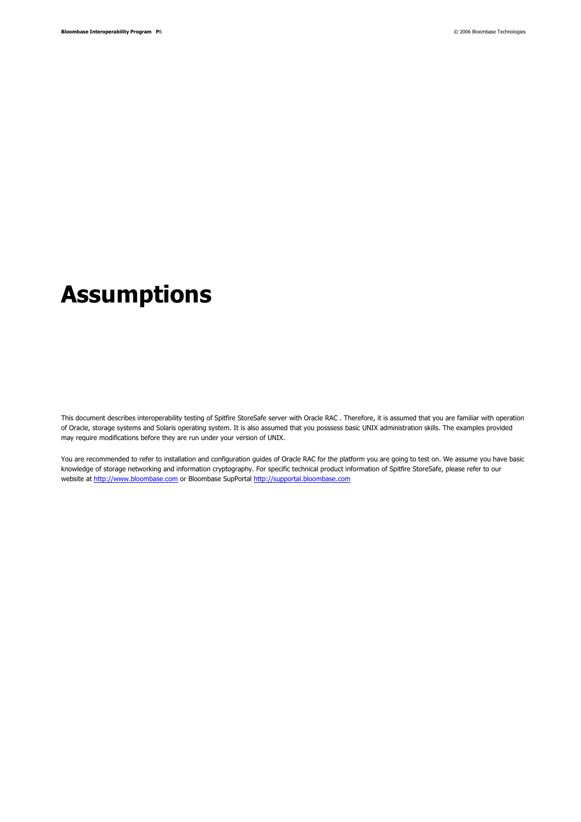# **Assumptions**

This document describes interoperability testing of Spitfire StoreSafe server with Oracle RAC . Therefore, it is assumed that you are familiar with operation of Oracle, storage systems and Solaris operating system. It is also assumed that you posssess basic UNIX administration skills. The examples provided may require modifications before they are run under your version of UNIX.

You are recommended to refer to installation and configuration guides of Oracle RAC for the platform you are going to test on. We assume you have basic knowledge of storage networking and information cryptography. For specific technical product information of Spitfire StoreSafe, please refer to our website at http://www.bloombase.com or Bloombase SupPortal http://supportal.bloombase.com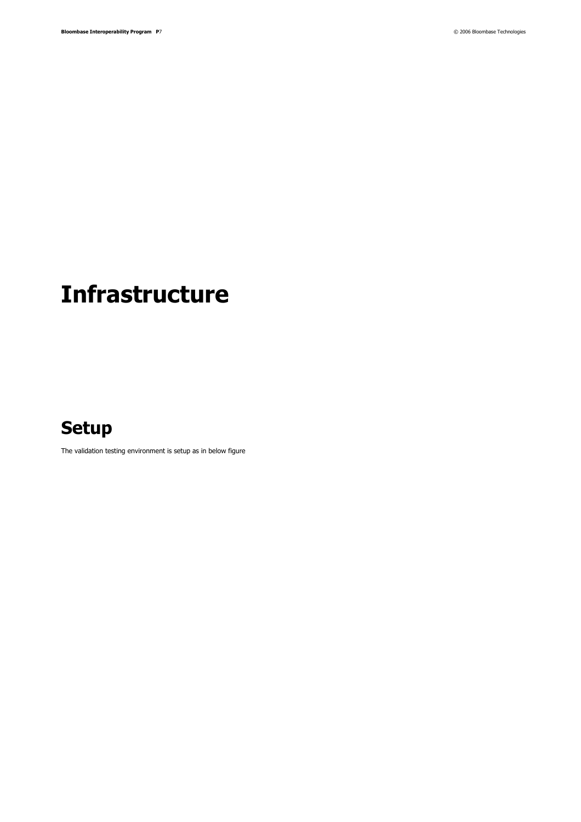# **Infrastructure**

## **Setup**

The validation testing environment is setup as in below figure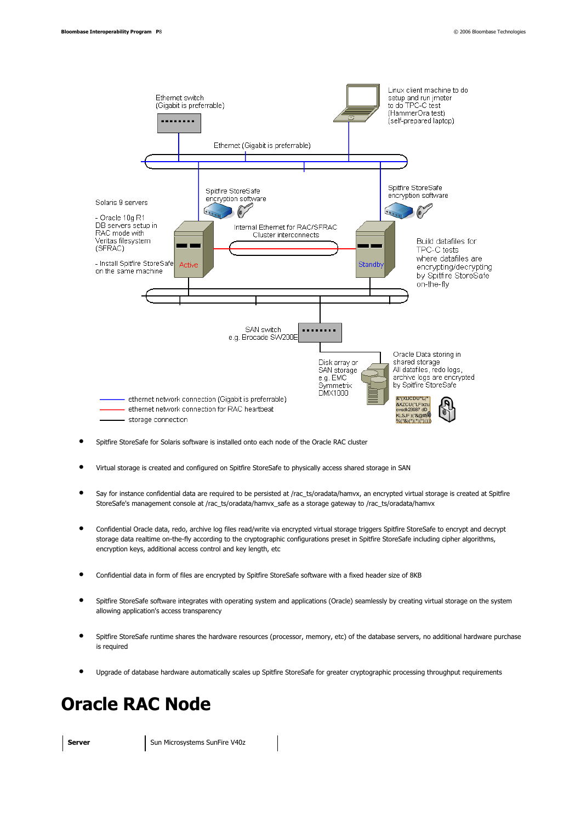

- Spitfire StoreSafe for Solaris software is installed onto each node of the Oracle RAC cluster
- Virtual storage is created and configured on Spitfire StoreSafe to physically access shared storage in SAN
- Say for instance confidential data are required to be persisted at /rac\_ts/oradata/hamvx, an encrypted virtual storage is created at Spitfire StoreSafe's management console at /rac\_ts/oradata/hamvx\_safe as a storage gateway to /rac\_ts/oradata/hamvx
- Confidential Oracle data, redo, archive log files read/write via encrypted virtual storage triggers Spitfire StoreSafe to encrypt and decrypt storage data realtime on-the-fly according to the cryptographic configurations preset in Spitfire StoreSafe including cipher algorithms, encryption keys, additional access control and key length, etc
- Confidential data in form of files are encrypted by Spitfire StoreSafe software with a fixed header size of 8KB
- Spitfire StoreSafe software integrates with operating system and applications (Oracle) seamlessly by creating virtual storage on the system allowing application's access transparency
- Spitfire StoreSafe runtime shares the hardware resources (processor, memory, etc) of the database servers, no additional hardware purchase is required
- Upgrade of database hardware automatically scales up Spitfire StoreSafe for greater cryptographic processing throughput requirements

## **Oracle RAC Node**

**Server Sun Microsystems SunFire V40z**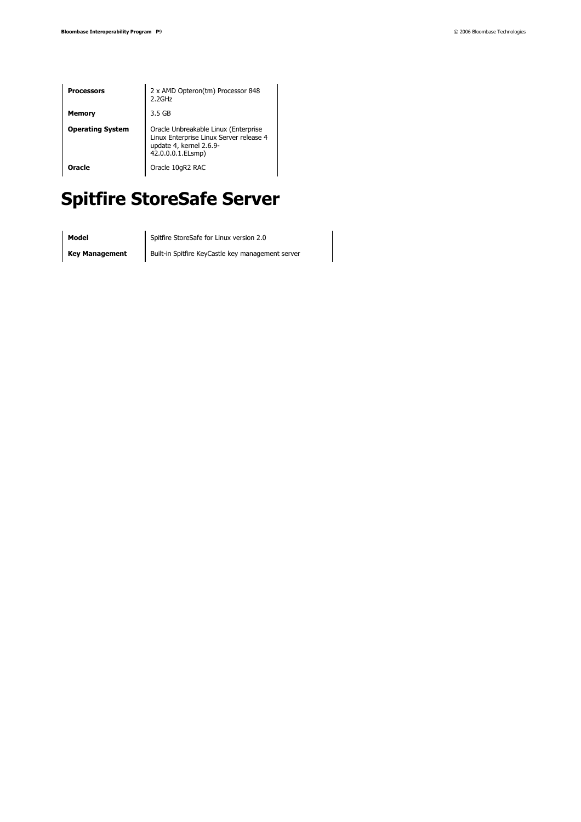| <b>Processors</b>       | 2 x AMD Opteron(tm) Processor 848<br>$2.2$ GHz                                                                                  |
|-------------------------|---------------------------------------------------------------------------------------------------------------------------------|
| Memory                  | 3.5 GB                                                                                                                          |
| <b>Operating System</b> | Oracle Unbreakable Linux (Enterprise<br>Linux Enterprise Linux Server release 4<br>update 4, kernel 2.6.9-<br>42.0.0.0.1.ELsmp) |
| Oracle                  | Oracle 10gR2 RAC                                                                                                                |

# **Spitfire StoreSafe Server**

**Model** Spitfire StoreSafe for Linux version 2.0

**Key Management** Built-in Spitfire KeyCastle key management server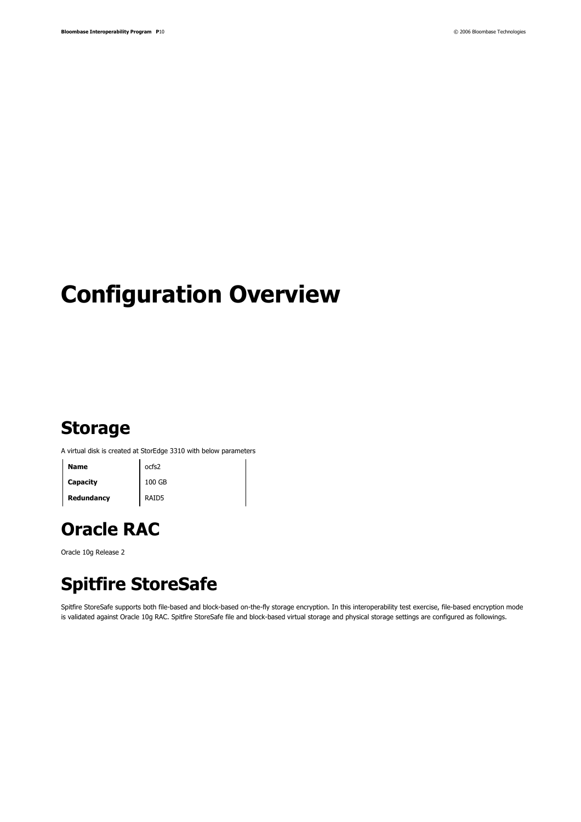# **Configuration Overview**

## **Storage**

A virtual disk is created at StorEdge 3310 with below parameters

**Name** ocfs2 **Capacity** 100 GB **Redundancy RAID5** 

**Oracle RAC** 

Oracle 10g Release 2

## **Spitfire StoreSafe**

Spitfire StoreSafe supports both file-based and block-based on-the-fly storage encryption. In this interoperability test exercise, file-based encryption mode is validated against Oracle 10g RAC. Spitfire StoreSafe file and block-based virtual storage and physical storage settings are configured as followings.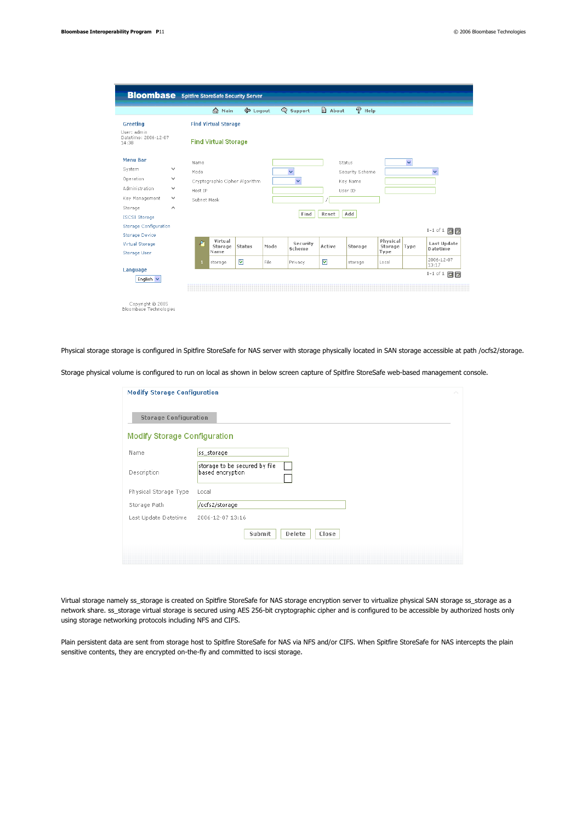| <b>Bloombase</b> Spitfire StoreSafe Security Server |                        |               |                                |        |      |                      |        |        |                 |          |              |                             |
|-----------------------------------------------------|------------------------|---------------|--------------------------------|--------|------|----------------------|--------|--------|-----------------|----------|--------------|-----------------------------|
|                                                     |                        |               | <b>A</b> Main                  | Logout |      | Support              |        | about  | Ø               | Help     |              |                             |
| Greeting                                            |                        |               | <b>Find Virtual Storage</b>    |        |      |                      |        |        |                 |          |              |                             |
| Liser: admin.<br>Datetime: 2006-12-07<br>14:38      |                        |               | <b>Find Virtual Storage</b>    |        |      |                      |        |        |                 |          |              |                             |
| <b>Menu Bar</b>                                     |                        | Name          |                                |        |      |                      |        | Status |                 |          | $\checkmark$ |                             |
| System                                              | v                      | Mode          |                                |        |      | $\checkmark$         |        |        | Security Scheme |          |              | v                           |
| Operation                                           | v                      |               | Cryptographic Cipher Algorithm |        |      | $\ddot{\phantom{1}}$ |        |        | Key Name        |          |              |                             |
| Administration                                      | v                      | Host IP       |                                |        |      |                      |        |        | User ID         |          |              |                             |
| Key Management                                      | $\checkmark$           | Subnet Mask   |                                |        |      |                      |        |        |                 |          |              |                             |
| Storage                                             | $\wedge$               |               |                                |        |      |                      |        |        |                 |          |              |                             |
| <b>ISCSI Storage</b>                                |                        |               |                                |        |      | Find                 |        | Reset  | Add             |          |              |                             |
| <b>Storage Configuration</b>                        |                        |               |                                |        |      |                      |        |        |                 |          |              | $1-1$ of $1$ $\blacksquare$ |
| <b>Storage Device</b>                               |                        |               | Virtual                        |        |      |                      |        |        |                 | Physical |              |                             |
| Virtual Storage                                     |                        | $\mathcal{L}$ | Storage                        | Status | Mode | Security<br>Scheme   | Active |        | Storage         | Storage  | Type         | Last Update<br>Datetime     |
| Storage User                                        |                        |               | Name                           |        |      |                      |        |        |                 | Type     |              | 2006-12-07                  |
| Language                                            |                        | п.            | storage                        | ☑      | File | Privacy              | ☑      |        | storage         | Local    |              | 13:17                       |
| English v                                           |                        |               |                                |        |      |                      |        |        |                 |          |              | $1-1$ of $1$ $\Box$         |
|                                                     |                        |               |                                |        |      |                      |        |        |                 |          |              |                             |
|                                                     |                        |               |                                |        |      |                      |        |        |                 |          |              |                             |
| Copyright @ 2005                                    | Bloombase Technologies |               |                                |        |      |                      |        |        |                 |          |              |                             |

Physical storage storage is configured in Spitfire StoreSafe for NAS server with storage physically located in SAN storage accessible at path /ocfs2/storage.

Storage physical volume is configured to run on local as shown in below screen capture of Spitfire StoreSafe web-based management console.

| <b>Modify Storage Configuration</b> |                                                   | $\curvearrowright$ |
|-------------------------------------|---------------------------------------------------|--------------------|
| <b>Storage Configuration</b>        |                                                   |                    |
| <b>Modify Storage Configuration</b> |                                                   |                    |
| Name                                | ss_storage                                        |                    |
| Description                         | storage to be secured by file<br>based encryption |                    |
| Physical Storage Type               | Local                                             |                    |
| Storage Path                        | /ocfs2/storage                                    |                    |
| Last Update Datetime                | 2006-12-07 13:16                                  |                    |
|                                     | Submit<br>Delete<br>Close                         |                    |
|                                     |                                                   |                    |

Virtual storage namely ss\_storage is created on Spitfire StoreSafe for NAS storage encryption server to virtualize physical SAN storage ss\_storage as a network share. ss\_storage virtual storage is secured using AES 256-bit cryptographic cipher and is configured to be accessible by authorized hosts only using storage networking protocols including NFS and CIFS.

Plain persistent data are sent from storage host to Spitfire StoreSafe for NAS via NFS and/or CIFS. When Spitfire StoreSafe for NAS intercepts the plain sensitive contents, they are encrypted on-the-fly and committed to iscsi storage.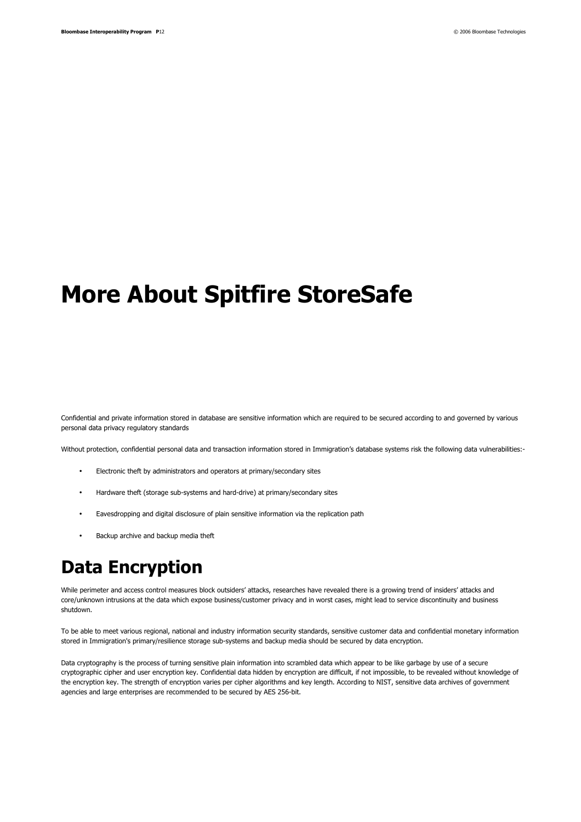# **More About Spitfire StoreSafe**

Confidential and private information stored in database are sensitive information which are required to be secured according to and governed by various personal data privacy regulatory standards

Without protection, confidential personal data and transaction information stored in Immigration's database systems risk the following data vulnerabilities:-

- Electronic theft by administrators and operators at primary/secondary sites
- Hardware theft (storage sub-systems and hard-drive) at primary/secondary sites
- Eavesdropping and digital disclosure of plain sensitive information via the replication path
- Backup archive and backup media theft

## **Data Encryption**

While perimeter and access control measures block outsiders' attacks, researches have revealed there is a growing trend of insiders' attacks and core/unknown intrusions at the data which expose business/customer privacy and in worst cases, might lead to service discontinuity and business shutdown.

To be able to meet various regional, national and industry information security standards, sensitive customer data and confidential monetary information stored in Immigration's primary/resilience storage sub-systems and backup media should be secured by data encryption.

Data cryptography is the process of turning sensitive plain information into scrambled data which appear to be like garbage by use of a secure cryptographic cipher and user encryption key. Confidential data hidden by encryption are difficult, if not impossible, to be revealed without knowledge of the encryption key. The strength of encryption varies per cipher algorithms and key length. According to NIST, sensitive data archives of government agencies and large enterprises are recommended to be secured by AES 256-bit.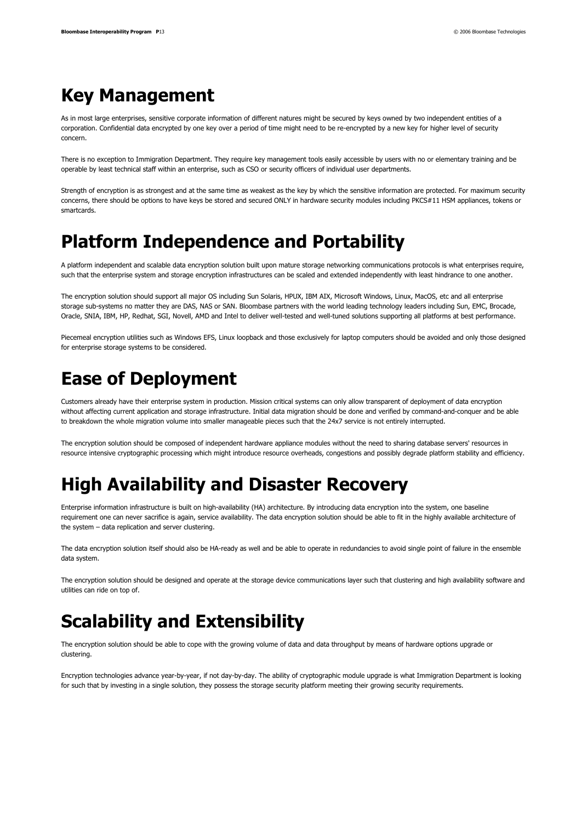## **Key Management**

As in most large enterprises, sensitive corporate information of different natures might be secured by keys owned by two independent entities of a corporation. Confidential data encrypted by one key over a period of time might need to be re-encrypted by a new key for higher level of security concern.

There is no exception to Immigration Department. They require key management tools easily accessible by users with no or elementary training and be operable by least technical staff within an enterprise, such as CSO or security officers of individual user departments.

Strength of encryption is as strongest and at the same time as weakest as the key by which the sensitive information are protected. For maximum security concerns, there should be options to have keys be stored and secured ONLY in hardware security modules including PKCS#11 HSM appliances, tokens or smartcards.

## **Platform Independence and Portability**

A platform independent and scalable data encryption solution built upon mature storage networking communications protocols is what enterprises require, such that the enterprise system and storage encryption infrastructures can be scaled and extended independently with least hindrance to one another.

The encryption solution should support all major OS including Sun Solaris, HPUX, IBM AIX, Microsoft Windows, Linux, MacOS, etc and all enterprise storage sub-systems no matter they are DAS, NAS or SAN. Bloombase partners with the world leading technology leaders including Sun, EMC, Brocade, Oracle, SNIA, IBM, HP, Redhat, SGI, Novell, AMD and Intel to deliver well-tested and well-tuned solutions supporting all platforms at best performance.

Piecemeal encryption utilities such as Windows EFS, Linux loopback and those exclusively for laptop computers should be avoided and only those designed for enterprise storage systems to be considered.

## **Ease of Deployment**

Customers already have their enterprise system in production. Mission critical systems can only allow transparent of deployment of data encryption without affecting current application and storage infrastructure. Initial data migration should be done and verified by command-and-conquer and be able to breakdown the whole migration volume into smaller manageable pieces such that the 24x7 service is not entirely interrupted.

The encryption solution should be composed of independent hardware appliance modules without the need to sharing database servers' resources in resource intensive cryptographic processing which might introduce resource overheads, congestions and possibly degrade platform stability and efficiency.

## **High Availability and Disaster Recovery**

Enterprise information infrastructure is built on high-availability (HA) architecture. By introducing data encryption into the system, one baseline requirement one can never sacrifice is again, service availability. The data encryption solution should be able to fit in the highly available architecture of the system – data replication and server clustering.

The data encryption solution itself should also be HA-ready as well and be able to operate in redundancies to avoid single point of failure in the ensemble data system.

The encryption solution should be designed and operate at the storage device communications layer such that clustering and high availability software and utilities can ride on top of.

## **Scalability and Extensibility**

The encryption solution should be able to cope with the growing volume of data and data throughput by means of hardware options upgrade or clustering.

Encryption technologies advance year-by-year, if not day-by-day. The ability of cryptographic module upgrade is what Immigration Department is looking for such that by investing in a single solution, they possess the storage security platform meeting their growing security requirements.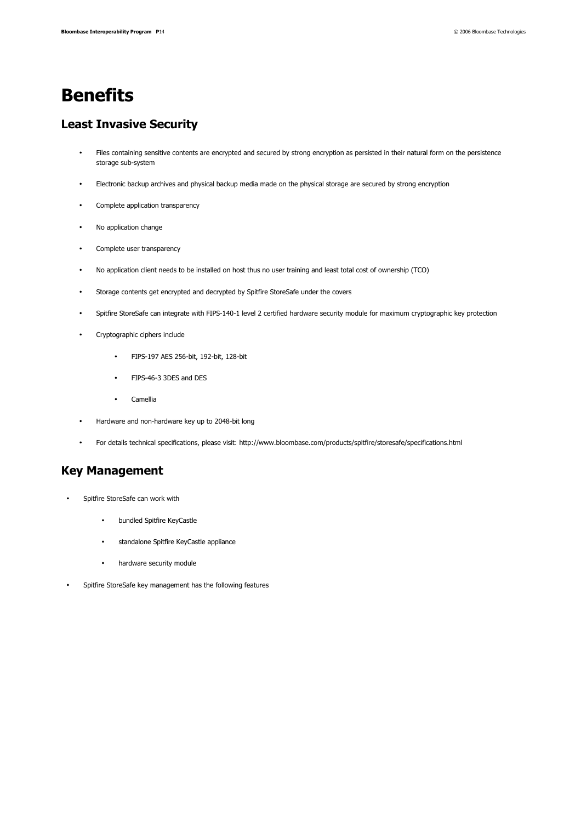## **Benefits**

#### **Least Invasive Security**

- Files containing sensitive contents are encrypted and secured by strong encryption as persisted in their natural form on the persistence storage sub-system
- Electronic backup archives and physical backup media made on the physical storage are secured by strong encryption
- Complete application transparency
- No application change
- Complete user transparency
- No application client needs to be installed on host thus no user training and least total cost of ownership (TCO)
- Storage contents get encrypted and decrypted by Spitfire StoreSafe under the covers
- Spitfire StoreSafe can integrate with FIPS-140-1 level 2 certified hardware security module for maximum cryptographic key protection
- Cryptographic ciphers include
	- FIPS-197 AES 256-bit, 192-bit, 128-bit
	- FIPS-46-3 3DES and DES
	- Camellia
- Hardware and non-hardware key up to 2048-bit long
- For details technical specifications, please visit: http://www.bloombase.com/products/spitfire/storesafe/specifications.html

#### **Key Management**

- Spitfire StoreSafe can work with
	- bundled Spitfire KeyCastle
	- standalone Spitfire KeyCastle appliance
	- hardware security module
- Spitfire StoreSafe key management has the following features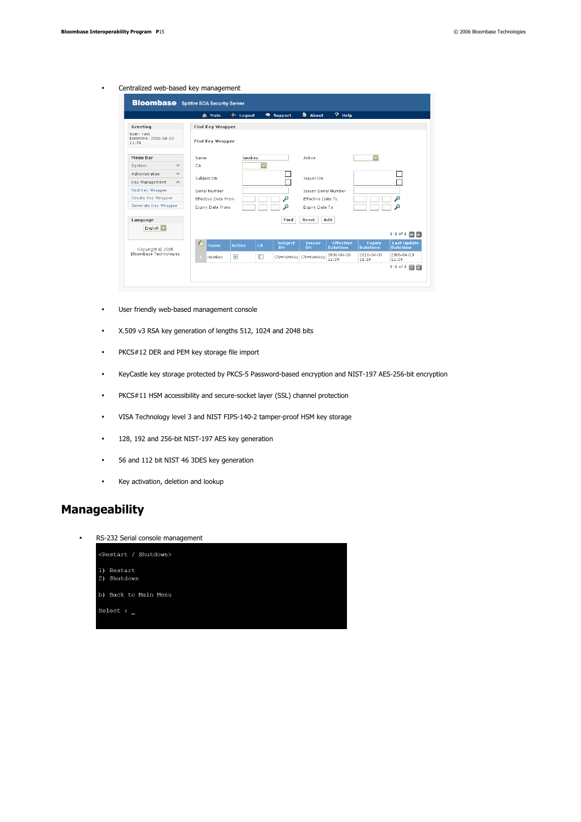#### • Centralized web-based key management

|                                             | m <sup>Main</sup> | $\leftarrow$ Logout                                       |                         | <b>●</b> Support            | <b>R</b> About             | ? Help                              |                                  |                                       |
|---------------------------------------------|-------------------|-----------------------------------------------------------|-------------------------|-----------------------------|----------------------------|-------------------------------------|----------------------------------|---------------------------------------|
| Greeting                                    | Find Key Wrapper  |                                                           |                         |                             |                            |                                     |                                  |                                       |
| Hser: root<br>Datetime: 2006-04-10<br>11:31 | Find Key Wrapper  |                                                           |                         |                             |                            |                                     |                                  |                                       |
| Menu Bar                                    | Name              | newkey                                                    |                         |                             | Active                     |                                     | $\overline{\phantom{0}}$         |                                       |
| v<br>System                                 | CA                |                                                           | $\overline{\mathbf{v}}$ |                             |                            |                                     |                                  |                                       |
| Administration<br>v                         |                   |                                                           |                         |                             | Issuer DN                  |                                     |                                  |                                       |
| Key Management<br>$\hat{}$                  | Subject DN        |                                                           |                         |                             |                            |                                     |                                  |                                       |
| Find Key Wrapper                            | Serial Number     | <b>Issuer Serial Number</b>                               |                         |                             |                            |                                     |                                  |                                       |
| Create Key Wrapper                          |                   | م<br>о<br><b>Effective Date From</b><br>Effective Date To |                         |                             |                            |                                     |                                  |                                       |
| Generate Key Wrapper                        | Expiry Date From  |                                                           |                         | Ω                           | Expiry Date To             |                                     |                                  |                                       |
| Language                                    |                   |                                                           |                         | Find                        | Reset                      | Add                                 |                                  |                                       |
| English v                                   |                   |                                                           |                         |                             |                            |                                     |                                  | 1-1 of 1 $\Box$                       |
| Copyright @ 2005                            | €<br>Name         | Active                                                    | CA                      | <b>Subject</b><br><b>DN</b> | <b>Issuer</b><br><b>DN</b> | <b>Effective</b><br><b>Datetime</b> | <b>Expiry</b><br><b>Datetime</b> | <b>Last Update</b><br><b>Datetime</b> |
| Bloombase Technologies                      | n.<br>newkey      | ☑                                                         | $\Box$                  | CN=newkey CN=newkey         |                            | 2006-04-10<br>11:29                 | 2016-04-07<br>11:29              | $2006 - 04 - 10$<br>11:29             |
|                                             |                   |                                                           |                         |                             |                            |                                     |                                  | 1-1 of 1 $\Box$                       |

- User friendly web-based management console
- X.509 v3 RSA key generation of lengths 512, 1024 and 2048 bits
- PKCS#12 DER and PEM key storage file import
- KeyCastle key storage protected by PKCS-5 Password-based encryption and NIST-197 AES-256-bit encryption
- PKCS#11 HSM accessibility and secure-socket layer (SSL) channel protection
- VISA Technology level 3 and NIST FIPS-140-2 tamper-proof HSM key storage
- 128, 192 and 256-bit NIST-197 AES key generation
- 56 and 112 bit NIST 46 3DES key generation
- Key activation, deletion and lookup

#### **Manageability**

• RS-232 Serial console management

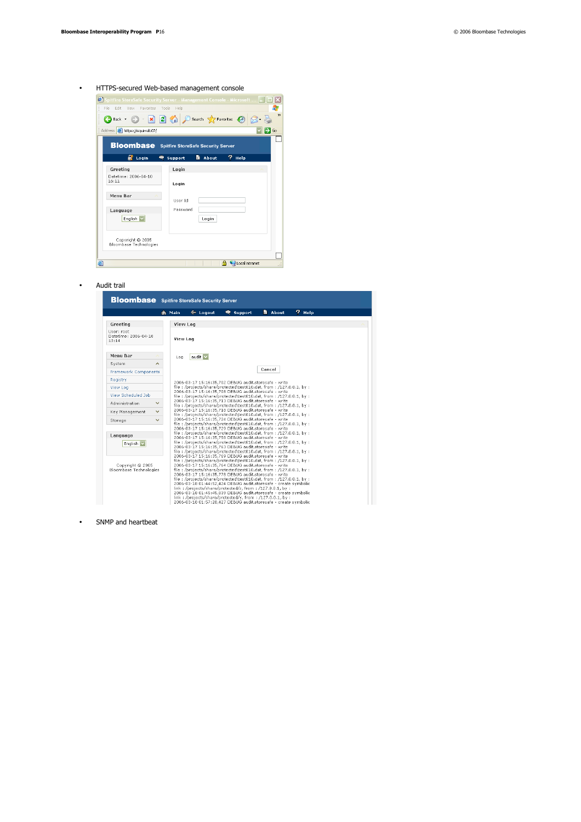

#### • Audit trail

|                                             | <b>Bloombase</b> Spitfire StoreSafe Security Server                                                                                                                                |
|---------------------------------------------|------------------------------------------------------------------------------------------------------------------------------------------------------------------------------------|
|                                             | $7$ Help<br><b>a</b> About<br>$\triangleleft$ Logout<br><b>●</b> Support<br>m Main                                                                                                 |
| Greeting                                    | <b>View Log</b>                                                                                                                                                                    |
| Hser: root<br>Datetime: 2006-04-10<br>13:14 | View Log                                                                                                                                                                           |
| Menu Bar                                    | audit V<br>Log                                                                                                                                                                     |
| System                                      | ㅅ                                                                                                                                                                                  |
| <b>Framework Components</b>                 | Cancel                                                                                                                                                                             |
| Registry                                    | 2006-03-17 15:16:35,702 DEBUG audit.storesafe - write                                                                                                                              |
| View Log                                    | file: /proiects/share/protected\test010.dat. from: /127.0.0.1. by:                                                                                                                 |
| View Scheduled Job                          | 2006-03-17 15:16:35,708 DEBUG audit.storesafe - write<br>file:/projects/share/protected\test010.dat, from:/127.0.0.1, by:                                                          |
| Administration                              | 2006-03-17 15:16:35.713 DEBUG audit.storesafe - write<br>$\checkmark$<br>file:/projects/share/protected\test010.dat, from:/127.0.0.1, by:                                          |
| Key Management                              | 2006-03-17 15:16:35.718 DEBUG audit.storesafe - write<br>$\checkmark$                                                                                                              |
| Storage                                     | file:/projects/share/protected\test010.dat, from:/127.0.0.1, by:<br>2006-03-17 15:16:35.724 DEBUG audit.storesafe - write<br>v                                                     |
|                                             | file: /projects/share/protected\test010.dat, from: /127.0.0.1, by:<br>2006-03-17 15:16:35.729 DEBUG audit.storesafe - write                                                        |
| Language                                    | file:/projects/share/protected\test010.dat, from:/127.0.0.1, by:<br>2006-03-17 15:16:35.758 DEBUG audit.storesafe - write                                                          |
| English <sup>V</sup>                        | file: /proiects/share/protected\test010.dat. from: /127.0.0.1. by:                                                                                                                 |
|                                             | 2006-03-17 15:16:35,763 DEBUG audit.storesafe - write<br>file:/projects/share/protected\test010.dat. from:/127.0.0.1. by:                                                          |
| Copyright @ 2005                            | 2006-03-17 15:16:35,769 DEBUG audit.storesafe - write<br>file:/proiects/share/protected\test010.dat. from:/127.0.0.1. by:<br>2006-03-17 15:16:35,764 DEBUG audit.storesafe - write |
| Bloombase Technologies                      | file:/projects/share/protected\test010.dat, from:/127.0.0.1, by:                                                                                                                   |
|                                             | 2006-03-17 15:16:35.778 DEBUG audit.storesafe - write<br>file:/projects/share/protected\test010.dat, from:/127.0.0.1, by:                                                          |
|                                             | 2006-03-18 01:44:52.424 DEBUG audit.storesafe - create symbolic<br>link: /projects/share/protected/z, from: /127.0.0.1, by:                                                        |
|                                             | 2006-03-18 01:45:45.839 DEBUG audit.storesafe - create symbolic                                                                                                                    |
|                                             | link: /projects/share/protected/v. from: /127.0.0.1. by:<br>2006-03-18 01:57:28,427 DEBUG audit.storesafe - create symbolic                                                        |

• SNMP and heartbeat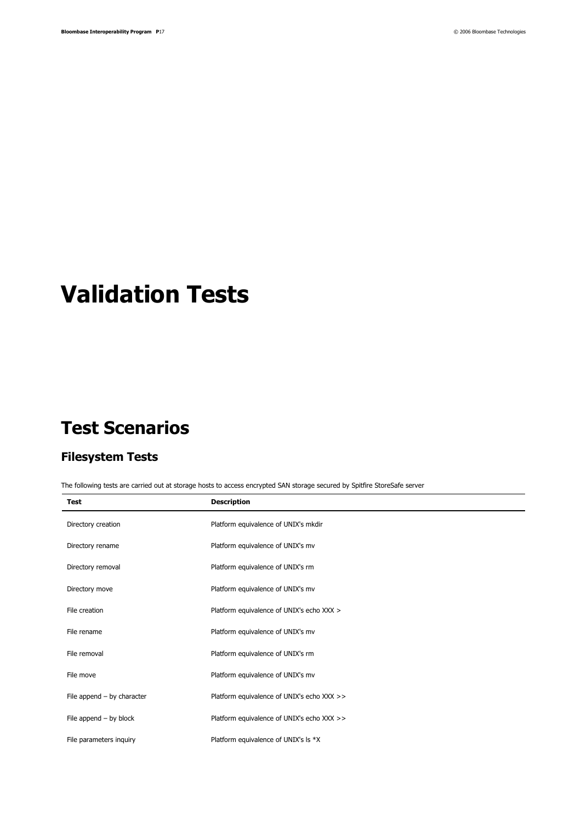# **Validation Tests**

## **Test Scenarios**

#### **Filesystem Tests**

The following tests are carried out at storage hosts to access encrypted SAN storage secured by Spitfire StoreSafe server

| <b>Test</b>                  | <b>Description</b>                         |
|------------------------------|--------------------------------------------|
| Directory creation           | Platform equivalence of UNIX's mkdir       |
| Directory rename             | Platform equivalence of UNIX's mv          |
| Directory removal            | Platform equivalence of UNIX's rm          |
| Directory move               | Platform equivalence of UNIX's mv          |
| File creation                | Platform equivalence of UNIX's echo XXX >  |
| File rename                  | Platform equivalence of UNIX's mv          |
| File removal                 | Platform equivalence of UNIX's rm          |
| File move                    | Platform equivalence of UNIX's mv          |
| File append $-$ by character | Platform equivalence of UNIX's echo XXX >> |
| File append $-$ by block     | Platform equivalence of UNIX's echo XXX >> |
| File parameters inquiry      | Platform equivalence of UNIX's Is *X       |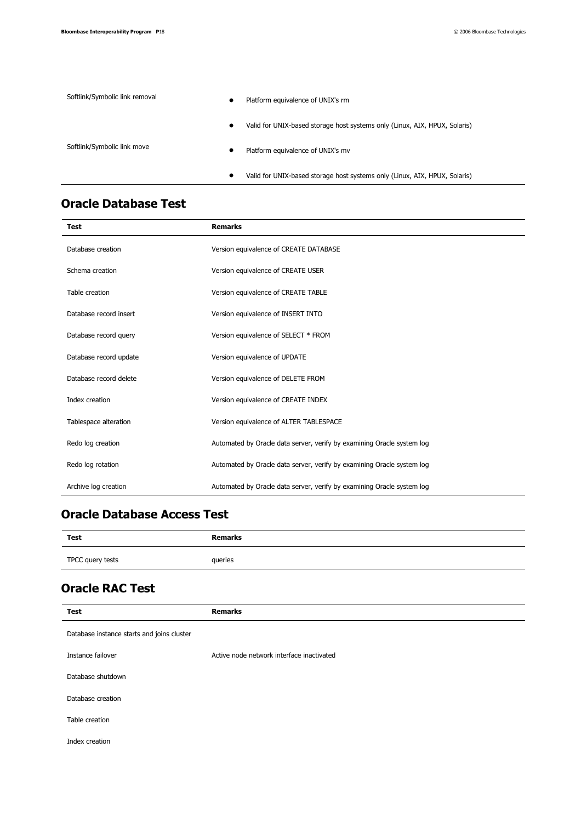| Softlink/Symbolic link removal | $\bullet$ | Platform equivalence of UNIX's rm                                          |
|--------------------------------|-----------|----------------------------------------------------------------------------|
|                                | $\bullet$ | Valid for UNIX-based storage host systems only (Linux, AIX, HPUX, Solaris) |
| Softlink/Symbolic link move    | $\bullet$ | Platform equivalence of UNIX's mv                                          |
|                                | ٠         | Valid for UNIX-based storage host systems only (Linux, AIX, HPUX, Solaris) |

### **Oracle Database Test**

| Test                   | <b>Remarks</b>                                                         |
|------------------------|------------------------------------------------------------------------|
| Database creation      | Version equivalence of CREATE DATABASE                                 |
| Schema creation        | Version equivalence of CREATE USER                                     |
| Table creation         | Version equivalence of CREATE TABLE                                    |
| Database record insert | Version equivalence of INSERT INTO                                     |
| Database record query  | Version equivalence of SELECT * FROM                                   |
| Database record update | Version equivalence of UPDATE                                          |
| Database record delete | Version equivalence of DELETE FROM                                     |
| Index creation         | Version equivalence of CREATE INDEX                                    |
| Tablespace alteration  | Version equivalence of ALTER TABLESPACE                                |
| Redo log creation      | Automated by Oracle data server, verify by examining Oracle system log |
| Redo log rotation      | Automated by Oracle data server, verify by examining Oracle system log |
| Archive log creation   | Automated by Oracle data server, verify by examining Oracle system log |

#### **Oracle Database Access Test**

| Test             | <b>Remarks</b> |
|------------------|----------------|
| TPCC query tests | queries        |

## **Oracle RAC Test**

| <b>Test</b>                                | <b>Remarks</b>                            |  |  |
|--------------------------------------------|-------------------------------------------|--|--|
| Database instance starts and joins cluster |                                           |  |  |
| Instance failover                          | Active node network interface inactivated |  |  |
| Database shutdown                          |                                           |  |  |
| Database creation                          |                                           |  |  |
| Table creation                             |                                           |  |  |
| Index creation                             |                                           |  |  |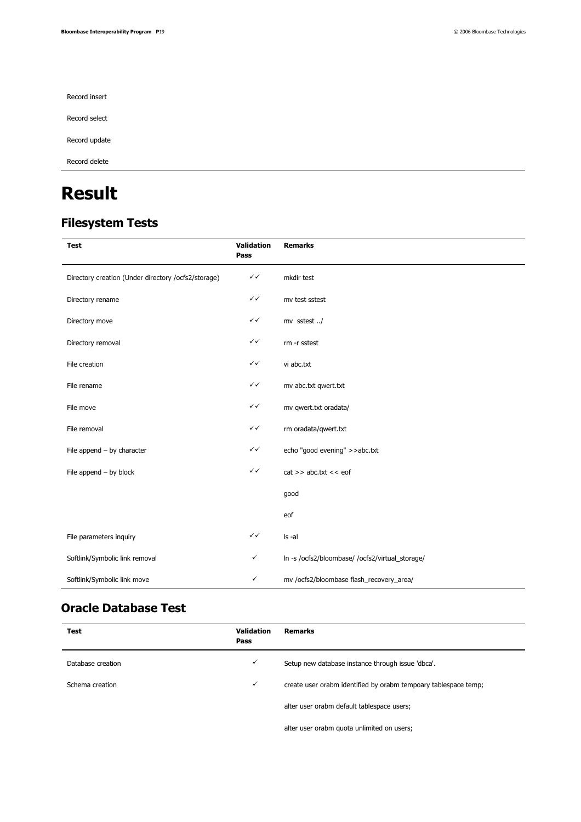Record insert

Record select

Record update

Record delete

## **Result**

## **Filesystem Tests**

| <b>Test</b>                                         | <b>Validation</b><br>Pass | <b>Remarks</b>                                  |
|-----------------------------------------------------|---------------------------|-------------------------------------------------|
| Directory creation (Under directory /ocfs2/storage) | $\checkmark$              | mkdir test                                      |
| Directory rename                                    | $\checkmark$              | mv test sstest                                  |
| Directory move                                      | $\checkmark$              | mv sstest/                                      |
| Directory removal                                   | $\checkmark$              | rm -r sstest                                    |
| File creation                                       | $\checkmark$              | vi abc.txt                                      |
| File rename                                         | ✓✓                        | mv abc.txt qwert.txt                            |
| File move                                           | $\checkmark$              | mv qwert.txt oradata/                           |
| File removal                                        | $\checkmark$              | rm oradata/qwert.txt                            |
| File append $-$ by character                        | $\checkmark$              | echo "good evening" >>abc.txt                   |
| File append $-$ by block                            | $\checkmark$              | $cat \gg abc.txt \ll eof$                       |
|                                                     |                           | good                                            |
|                                                     |                           | eof                                             |
| File parameters inquiry                             | $\checkmark$              | Is -al                                          |
| Softlink/Symbolic link removal                      | ✓                         | In -s /ocfs2/bloombase/ /ocfs2/virtual_storage/ |
| Softlink/Symbolic link move                         | $\checkmark$              | mv /ocfs2/bloombase flash_recovery_area/        |

#### **Oracle Database Test**

| <b>Test</b>       | <b>Validation</b><br>Pass | <b>Remarks</b>                                                  |
|-------------------|---------------------------|-----------------------------------------------------------------|
| Database creation | ✓                         | Setup new database instance through issue 'dbca'.               |
| Schema creation   | ✓                         | create user orabm identified by orabm tempoary tablespace temp; |
|                   |                           | alter user orabm default tablespace users;                      |
|                   |                           |                                                                 |

alter user orabm quota unlimited on users;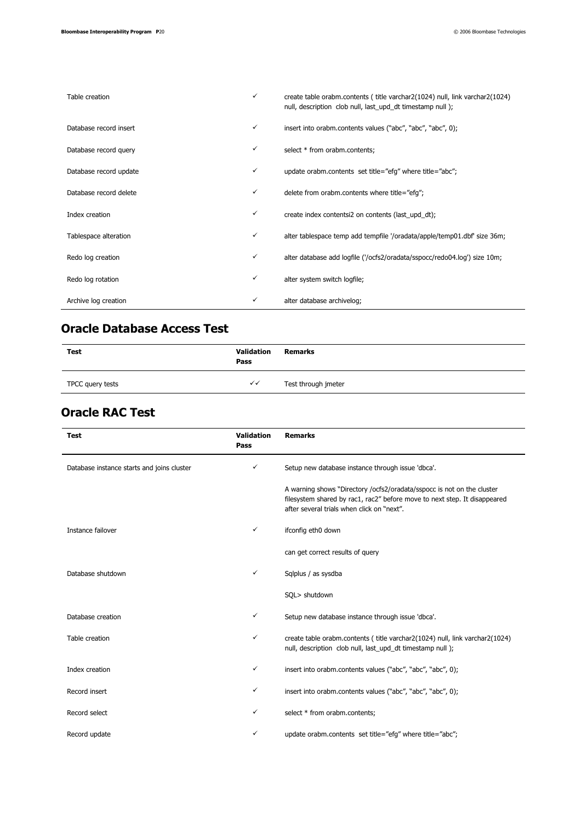| Table creation         | ✓ | create table orabm.contents ( title varchar2(1024) null, link varchar2(1024)<br>null, description clob null, last_upd_dt timestamp null); |
|------------------------|---|-------------------------------------------------------------------------------------------------------------------------------------------|
| Database record insert | ✓ | insert into orabm.contents values ("abc", "abc", "abc", 0);                                                                               |
| Database record query  | ✓ | select * from orabm.contents;                                                                                                             |
| Database record update | ✓ | update orabm.contents set title="efg" where title="abc";                                                                                  |
| Database record delete | ✓ | delete from orabm.contents where title="efg";                                                                                             |
| Index creation         | ✓ | create index contentsi2 on contents (last_upd_dt);                                                                                        |
| Tablespace alteration  | ✓ | alter tablespace temp add tempfile '/oradata/apple/temp01.dbf' size 36m;                                                                  |
| Redo log creation      | ✓ | alter database add logfile ('/ocfs2/oradata/sspocc/redo04.log') size 10m;                                                                 |
| Redo log rotation      | ✓ | alter system switch logfile;                                                                                                              |
| Archive log creation   | ✓ | alter database archivelog;                                                                                                                |

#### **Oracle Database Access Test**

| Test             | Validation<br>Pass     | <b>Remarks</b>      |
|------------------|------------------------|---------------------|
| TPCC query tests | $\checkmark\checkmark$ | Test through jmeter |

#### **Oracle RAC Test**

| <b>Test</b>                                | Validation<br>Pass | <b>Remarks</b>                                                                                                                                                                                    |
|--------------------------------------------|--------------------|---------------------------------------------------------------------------------------------------------------------------------------------------------------------------------------------------|
| Database instance starts and joins cluster | $\checkmark$       | Setup new database instance through issue 'dbca'.                                                                                                                                                 |
|                                            |                    | A warning shows "Directory /ocfs2/oradata/sspocc is not on the cluster<br>filesystem shared by rac1, rac2" before move to next step. It disappeared<br>after several trials when click on "next". |
| Instance failover                          | ✓                  | ifconfig eth0 down                                                                                                                                                                                |
|                                            |                    | can get correct results of query                                                                                                                                                                  |
| Database shutdown                          | $\checkmark$       | Sqlplus / as sysdba                                                                                                                                                                               |
|                                            |                    | SQL> shutdown                                                                                                                                                                                     |
| Database creation                          | $\checkmark$       | Setup new database instance through issue 'dbca'.                                                                                                                                                 |
| Table creation                             | ✓                  | create table orabm.contents (title varchar2(1024) null, link varchar2(1024)<br>null, description clob null, last_upd_dt timestamp null);                                                          |
| Index creation                             | ✓                  | insert into orabm.contents values ("abc", "abc", "abc", 0);                                                                                                                                       |
| Record insert                              | $\checkmark$       | insert into orabm.contents values ("abc", "abc", "abc", 0);                                                                                                                                       |
| Record select                              | ✓                  | select * from orabm.contents;                                                                                                                                                                     |
| Record update                              | ✓                  | update orabm.contents set title="efg" where title="abc";                                                                                                                                          |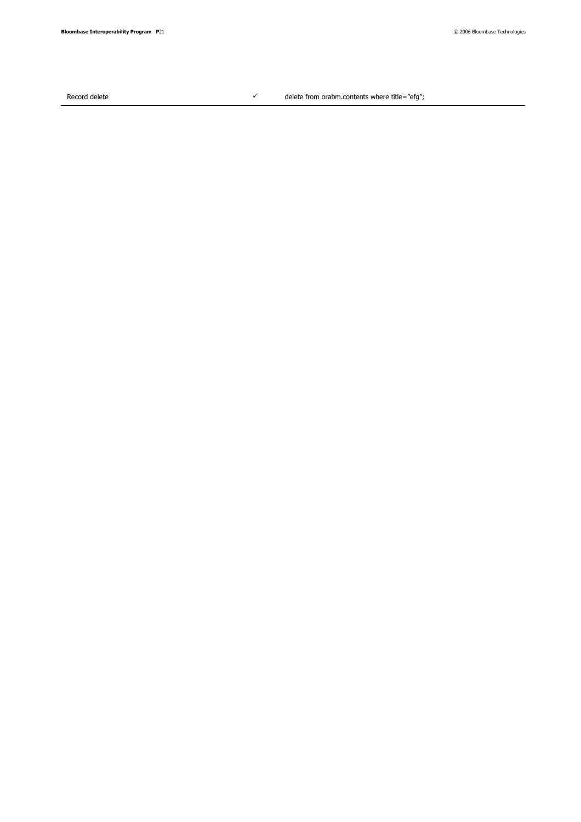Record delete  $\checkmark$ 

delete from orabm.contents where title="efg";